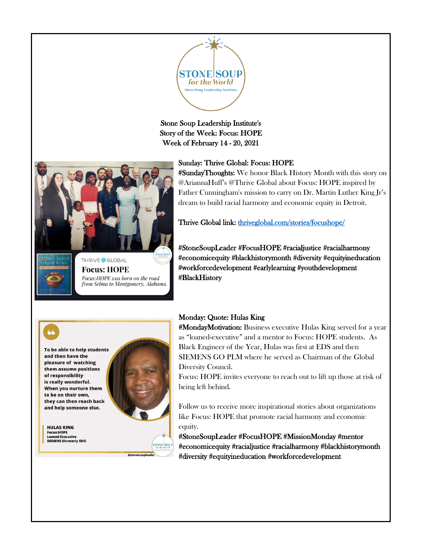

Stone Soup Leadership Institute's Story of the Week: Focus: HOPE Week of February 14 - 20, 2021

## Sunday: Thrive Global: Focus: HOPE



**Focus: HOPE** Focus: HOPE was born on the road from Selma to Montgomery, Alabama. #SundayThoughts: We honor Black History Month with this story on @AriannaHuff's @Thrive Global about Focus: HOPE inspired by Father Cunningham's mission to carry on Dr. Martin Luther King Jr's dream to build racial harmony and economic equity in Detroit.

Thrive Global link: thriveglobal.com/stories/focushope/

#StoneSoupLeader #FocusHOPE #racialjustice #racialharmony #economicequity #blackhistorymonth #diversity #equityineducation #workforcedevelopment #earlylearning #youthdevelopment #BlackHistory



To be able to help students and then have the pleasure of watching them assume positions of responsibility is really wonderful. When you nurture them to be on their own, they can then reach back and help someone else.



**STONE SOUP** 

**HULAS KING Focus:HOPE Loaned Executive SIEMENS (formerly EDS)** 

## Monday: Quote: Hulas King

#MondayMotivation: Business executive Hulas King served for a year as "loaned-executive" and a mentor to Focus: HOPE students. As Black Engineer of the Year, Hulas was first at EDS and then SIEMENS GO PLM where he served as Chairman of the Global Diversity Council.

Focus: HOPE invites everyone to reach out to lift up those at risk of being left behind.

Follow us to receive more inspirational stories about organizations like Focus: HOPE that promote racial harmony and economic equity.

#StoneSoupLeader #FocusHOPE #MissionMonday #mentor #economicequity #racialjustice #racialharmony #blackhistorymonth #diversity #equityineducation #workforcedevelopment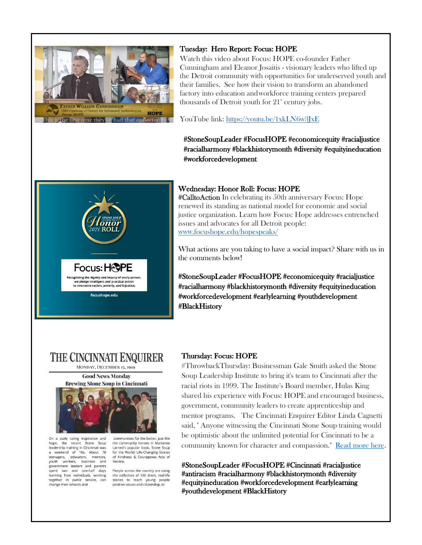

#### Tuesday: Hero Report: Focus: HOPE

Watch this video about Focus: HOPE co-founder Father Cunningham and Eleanor Josaitis - visionary leaders who lifted up the Detroit community with opportunities for underserved youth and their families. See how their vision to transform an abandoned factory into education andworkforce training centers prepared thousands of Detroit youth for  $21^{\circ}$  century jobs.

YouTube link:<https://youtu.be/1xkLN6w3JxE>

#StoneSoupLeader #FocusHOPE #economicequity #racialjustice #racialharmony #blackhistorymonth #diversity #equityineducation #workforcedevelopment



#### Wednesday: Honor Roll: Focus: HOPE

#CalltoAction In celebrating its 50th anniversary Focus: Hope renewed its standing as national model for economic and social justice organization. Learn how Focus: Hope addresses entrenched issues and advocates for all Detroit people: [www.focushope.edu/hopespeaks/](https://www.focushope.edu/hopespeaks/)

What actions are you taking to have a social impact? Share with us in the comments below!

#StoneSoupLeader #FocusHOPE #economicequity #racialjustice #racialharmony #blackhistorymonth #diversity #equityineducation #workforcedevelopment #earlylearning #youthdevelopment #BlackHistory

# **THE CINCINNATI ENQUIRER**

MONDAY, DECEMBER 13, 1999 **Good News Monday** 





On a scale rating inspiration and hope, the recent Stone Soup leadership training in Cincinnati was a weekend of 10s. About 70 teenagers, educators, mentors, youth workers, business and government leaders and parents spent two and one-half days learning how individuals, working<br>together in public service, can change their schools and

communities for the better. Just like the community heroes in Marianne Larned's popular book, Stone Soup for the World: Life-Changing Stories of Kindness & Courageous Acts of Service.

People across the country are using the collection of 100 short, real-life stories to teach young people positive values and citizenship, to

### Thursday: Focus: HOPE

#ThrowbackThursday: Businessman Gale Smith asked the Stone Soup Leadership Institute to bring it's team to Cincinnati after the racial riots in 1999. The Institute's Board member, Hulas King shared his experience with Focus: HOPE and encouraged business, government, community leaders to create apprenticeship and mentor programs. The Cincinnati Enquirer Editor Linda Cagnetti said, " Anyone witnessing the Cincinnati Stone Soup training would be optimistic about the unlimited potential for Cincinnati to be a community known for character and compassion." [Read more here.](http://soup4worldinstitute.com/wp-content/uploads/2020/05/Cincinnati-Enq-dec99.pdf)

#StoneSoupLeader #FocusHOPE #Cincinnati #racialjustice #antiracism #racialharmony #blackhistorymonth #diversity #equityineducation #workforcedevelopment #earlylearning #youthdevelopment #BlackHistory